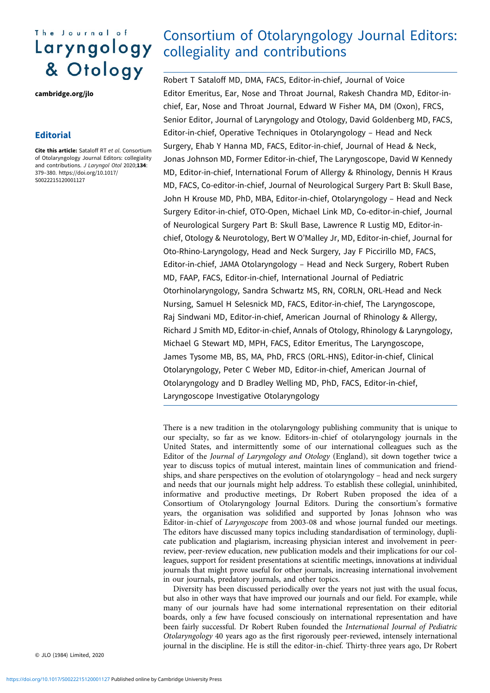## The Journal of Laryngology & Otology

[cambridge.org/jlo](//www.cambridge.org/jlo)

## **Editorial**

Cite this article: Sataloff RT et al. Consortium of Otolaryngology Journal Editors: collegiality and contributions. J Laryngol Otol 2020:134: 379–380. [https://doi.org/10.1017/](https://doi.org/</article-id) [S0022215120001127](https://doi.org/</article-id)

## Consortium of Otolaryngology Journal Editors: collegiality and contributions

Robert T Sataloff MD, DMA, FACS, Editor-in-chief, Journal of Voice Editor Emeritus, Ear, Nose and Throat Journal, Rakesh Chandra MD, Editor-inchief, Ear, Nose and Throat Journal, Edward W Fisher MA, DM (Oxon), FRCS, Senior Editor, Journal of Laryngology and Otology, David Goldenberg MD, FACS, Editor-in-chief, Operative Techniques in Otolaryngology – Head and Neck Surgery, Ehab Y Hanna MD, FACS, Editor-in-chief, Journal of Head & Neck, Jonas Johnson MD, Former Editor-in-chief, The Laryngoscope, David W Kennedy MD, Editor-in-chief, International Forum of Allergy & Rhinology, Dennis H Kraus MD, FACS, Co-editor-in-chief, Journal of Neurological Surgery Part B: Skull Base, John H Krouse MD, PhD, MBA, Editor-in-chief, Otolaryngology – Head and Neck Surgery Editor-in-chief, OTO-Open, Michael Link MD, Co-editor-in-chief, Journal of Neurological Surgery Part B: Skull Base, Lawrence R Lustig MD, Editor-inchief, Otology & Neurotology, Bert W O'Malley Jr, MD, Editor-in-chief, Journal for Oto-Rhino-Laryngology, Head and Neck Surgery, Jay F Piccirillo MD, FACS, Editor-in-chief, JAMA Otolaryngology – Head and Neck Surgery, Robert Ruben MD, FAAP, FACS, Editor-in-chief, International Journal of Pediatric Otorhinolaryngology, Sandra Schwartz MS, RN, CORLN, ORL-Head and Neck Nursing, Samuel H Selesnick MD, FACS, Editor-in-chief, The Laryngoscope, Raj Sindwani MD, Editor-in-chief, American Journal of Rhinology & Allergy, Richard J Smith MD, Editor-in-chief, Annals of Otology, Rhinology & Laryngology, Michael G Stewart MD, MPH, FACS, Editor Emeritus, The Laryngoscope, James Tysome MB, BS, MA, PhD, FRCS (ORL-HNS), Editor-in-chief, Clinical Otolaryngology, Peter C Weber MD, Editor-in-chief, American Journal of Otolaryngology and D Bradley Welling MD, PhD, FACS, Editor-in-chief, Laryngoscope Investigative Otolaryngology

There is a new tradition in the otolaryngology publishing community that is unique to our specialty, so far as we know. Editors-in-chief of otolaryngology journals in the United States, and intermittently some of our international colleagues such as the Editor of the Journal of Laryngology and Otology (England), sit down together twice a year to discuss topics of mutual interest, maintain lines of communication and friendships, and share perspectives on the evolution of otolaryngology – head and neck surgery and needs that our journals might help address. To establish these collegial, uninhibited, informative and productive meetings, Dr Robert Ruben proposed the idea of a Consortium of Otolaryngology Journal Editors. During the consortium's formative years, the organisation was solidified and supported by Jonas Johnson who was Editor-in-chief of Laryngoscope from 2003-08 and whose journal funded our meetings. The editors have discussed many topics including standardisation of terminology, duplicate publication and plagiarism, increasing physician interest and involvement in peerreview, peer-review education, new publication models and their implications for our colleagues, support for resident presentations at scientific meetings, innovations at individual journals that might prove useful for other journals, increasing international involvement in our journals, predatory journals, and other topics.

Diversity has been discussed periodically over the years not just with the usual focus, but also in other ways that have improved our journals and our field. For example, while many of our journals have had some international representation on their editorial boards, only a few have focused consciously on international representation and have been fairly successful. Dr Robert Ruben founded the International Journal of Pediatric Otolaryngology 40 years ago as the first rigorously peer-reviewed, intensely international journal in the discipline. He is still the editor-in-chief. Thirty-three years ago, Dr Robert